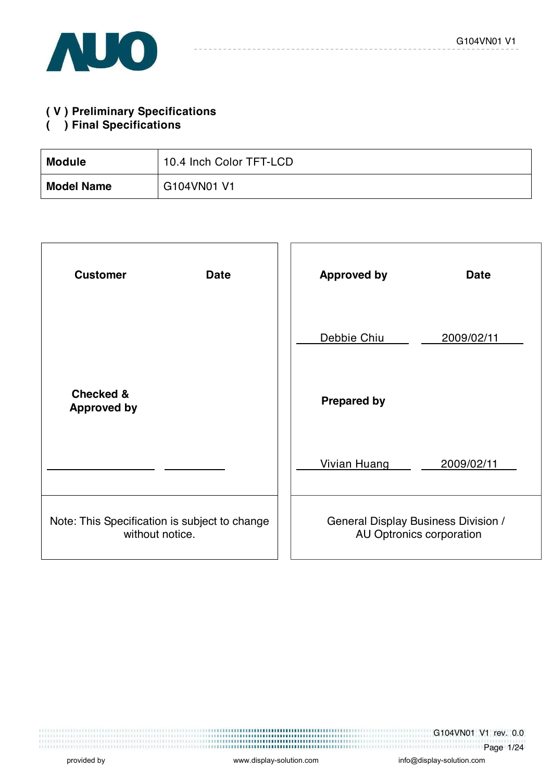

## **( V ) Preliminary Specifications**

### **( ) Final Specifications**

| <b>Module</b>     | 10.4 Inch Color TFT-LCD |
|-------------------|-------------------------|
| <b>Model Name</b> | G104VN01 V1             |

| <b>Customer</b><br><b>Date</b>                                   | <b>Approved by</b><br><b>Date</b>                                      |
|------------------------------------------------------------------|------------------------------------------------------------------------|
|                                                                  | Debbie Chiu<br>2009/02/11                                              |
| <b>Checked &amp;</b><br><b>Approved by</b>                       | <b>Prepared by</b>                                                     |
|                                                                  | <b>Vivian Huang</b><br>2009/02/11                                      |
| Note: This Specification is subject to change<br>without notice. | <b>General Display Business Division /</b><br>AU Optronics corporation |

G104VN01 V1 rev. 0.0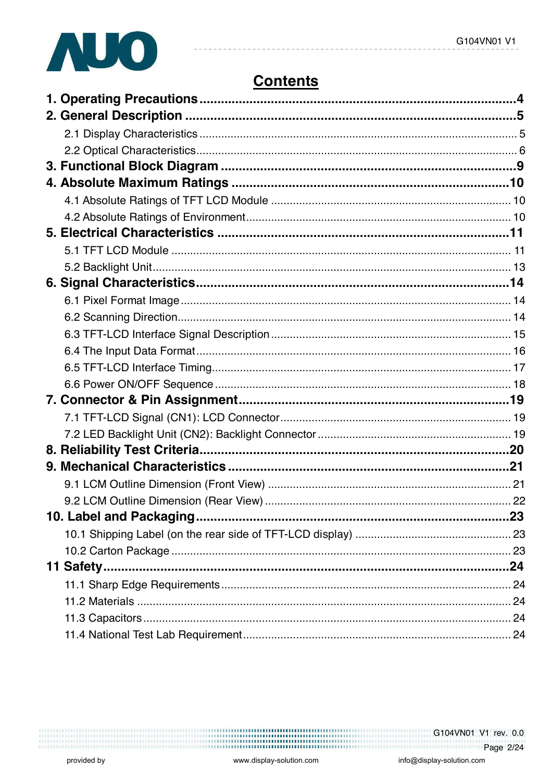

# **Contents**

|           | .23 |
|-----------|-----|
|           |     |
|           |     |
| 11 Safety |     |
|           |     |
|           |     |
|           |     |
|           |     |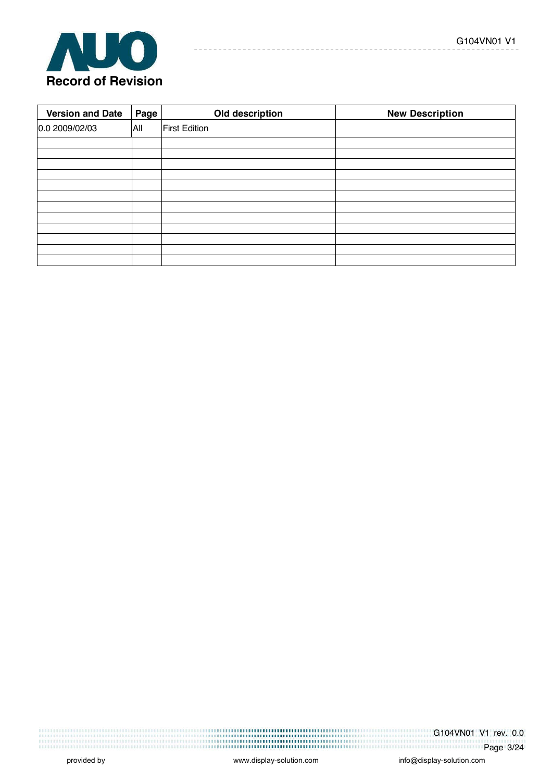

| <b>Version and Date</b> | Page | Old description      | <b>New Description</b> |
|-------------------------|------|----------------------|------------------------|
| 0.0 2009/02/03          | All  | <b>First Edition</b> |                        |
|                         |      |                      |                        |
|                         |      |                      |                        |
|                         |      |                      |                        |
|                         |      |                      |                        |
|                         |      |                      |                        |
|                         |      |                      |                        |
|                         |      |                      |                        |
|                         |      |                      |                        |
|                         |      |                      |                        |
|                         |      |                      |                        |
|                         |      |                      |                        |
|                         |      |                      |                        |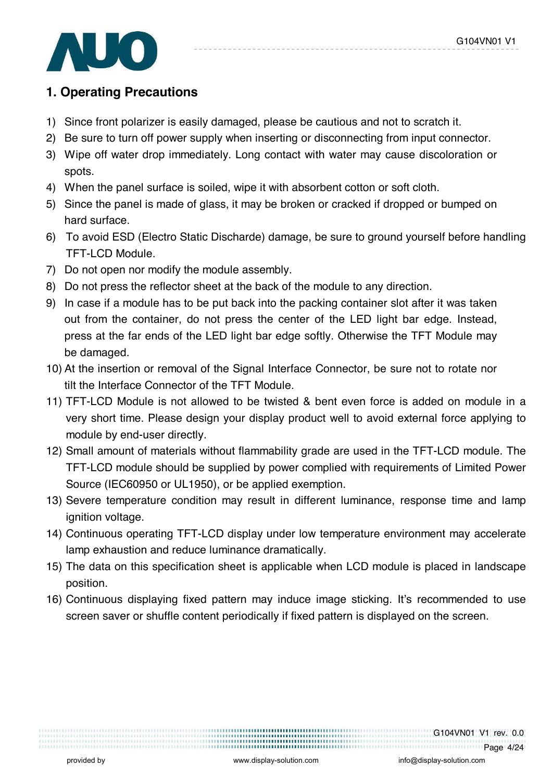

## **1. Operating Precautions**

- 1) Since front polarizer is easily damaged, please be cautious and not to scratch it.
- 2) Be sure to turn off power supply when inserting or disconnecting from input connector.
- 3) Wipe off water drop immediately. Long contact with water may cause discoloration or spots.
- 4) When the panel surface is soiled, wipe it with absorbent cotton or soft cloth.
- 5) Since the panel is made of glass, it may be broken or cracked if dropped or bumped on hard surface.
- 6) To avoid ESD (Electro Static Discharde) damage, be sure to ground yourself before handling TFT-LCD Module.
- 7) Do not open nor modify the module assembly.
- 8) Do not press the reflector sheet at the back of the module to any direction.
- 9) In case if a module has to be put back into the packing container slot after it was taken out from the container, do not press the center of the LED light bar edge. Instead, press at the far ends of the LED light bar edge softly. Otherwise the TFT Module may be damaged.
- 10) At the insertion or removal of the Signal Interface Connector, be sure not to rotate nor tilt the Interface Connector of the TFT Module.
- 11) TFT-LCD Module is not allowed to be twisted & bent even force is added on module in a very short time. Please design your display product well to avoid external force applying to module by end-user directly.
- 12) Small amount of materials without flammability grade are used in the TFT-LCD module. The TFT-LCD module should be supplied by power complied with requirements of Limited Power Source (IEC60950 or UL1950), or be applied exemption.
- 13) Severe temperature condition may result in different luminance, response time and lamp ignition voltage.
- 14) Continuous operating TFT-LCD display under low temperature environment may accelerate lamp exhaustion and reduce luminance dramatically.
- 15) The data on this specification sheet is applicable when LCD module is placed in landscape position.
- 16) Continuous displaying fixed pattern may induce image sticking. It's recommended to use screen saver or shuffle content periodically if fixed pattern is displayed on the screen.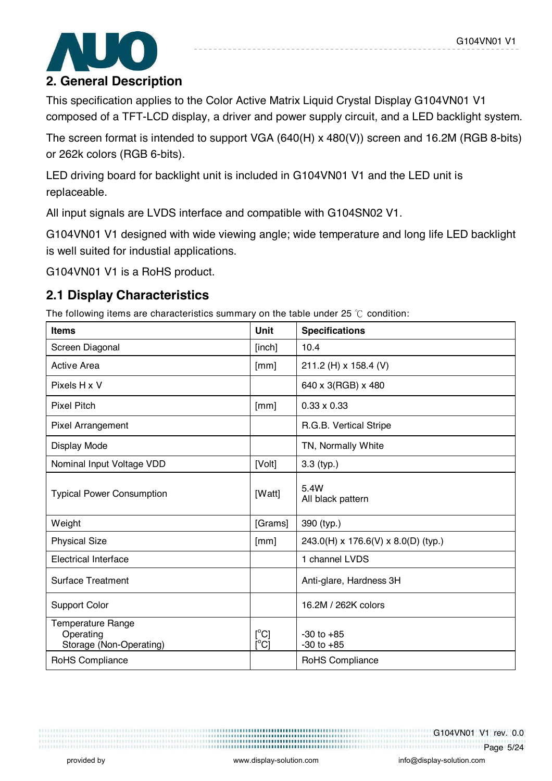

### **2. General Description**

This specification applies to the Color Active Matrix Liquid Crystal Display G104VN01 V1 composed of a TFT-LCD display, a driver and power supply circuit, and a LED backlight system.

The screen format is intended to support VGA (640(H) x 480(V)) screen and 16.2M (RGB 8-bits) or 262k colors (RGB 6-bits).

LED driving board for backlight unit is included in G104VN01 V1 and the LED unit is replaceable.

All input signals are LVDS interface and compatible with G104SN02 V1.

G104VN01 V1 designed with wide viewing angle; wide temperature and long life LED backlight is well suited for industial applications.

G104VN01 V1 is a RoHS product.

### **2.1 Display Characteristics**

The following items are characteristics summary on the table under 25  $\degree$ C condition:

| <b>Items</b>                                                     | Unit                 | <b>Specifications</b>               |
|------------------------------------------------------------------|----------------------|-------------------------------------|
| Screen Diagonal                                                  | [inch]               | 10.4                                |
| <b>Active Area</b>                                               | [mm]                 | 211.2 (H) x 158.4 (V)               |
| Pixels H x V                                                     |                      | 640 x 3(RGB) x 480                  |
| <b>Pixel Pitch</b>                                               | [mm]                 | $0.33 \times 0.33$                  |
| <b>Pixel Arrangement</b>                                         |                      | R.G.B. Vertical Stripe              |
| Display Mode                                                     |                      | TN, Normally White                  |
| Nominal Input Voltage VDD                                        | [Volt]               | $3.3$ (typ.)                        |
| <b>Typical Power Consumption</b>                                 | [Watt]               | 5.4W<br>All black pattern           |
| Weight                                                           | [Grams]              | 390 (typ.)                          |
| <b>Physical Size</b>                                             | [mm]                 | 243.0(H) x 176.6(V) x 8.0(D) (typ.) |
| <b>Electrical Interface</b>                                      |                      | 1 channel LVDS                      |
| <b>Surface Treatment</b>                                         |                      | Anti-glare, Hardness 3H             |
| <b>Support Color</b>                                             |                      | 16.2M / 262K colors                 |
| <b>Temperature Range</b><br>Operating<br>Storage (Non-Operating) | $[^{\circ}C]$<br>[C] | $-30$ to $+85$<br>$-30$ to $+85$    |
| RoHS Compliance                                                  |                      | RoHS Compliance                     |

G104VN01 V1 rev. 0.0 Page 5/24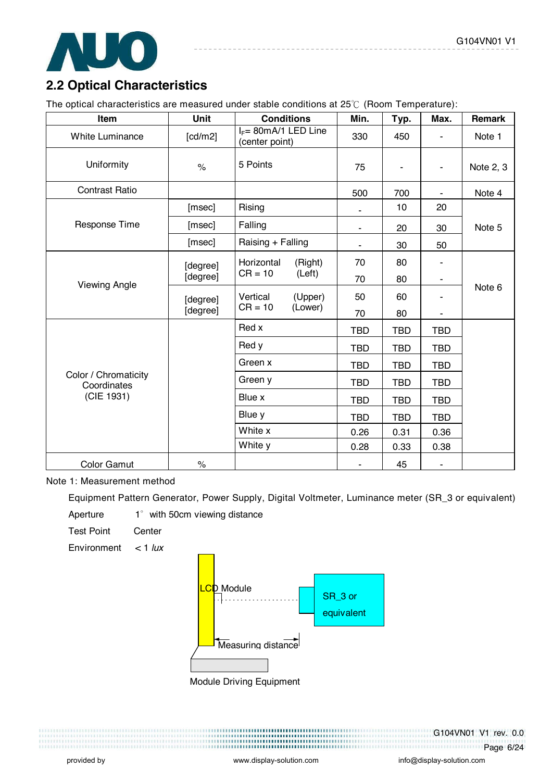

## **2.2 Optical Characteristics**

The optical characteristics are measured under stable conditions at  $25^{\circ}$  (Room Temperature):

| Item                                | <b>Unit</b> | <b>Conditions</b>                                   | Min.       | Typ.       | Max.                         | Remark    |
|-------------------------------------|-------------|-----------------------------------------------------|------------|------------|------------------------------|-----------|
| <b>White Luminance</b>              | [cd/m2]     | $I_F = 80 \text{mA} / 1$ LED Line<br>(center point) | 330        | 450        |                              | Note 1    |
| Uniformity                          | $\%$        | 5 Points                                            | 75         |            | $\qquad \qquad \blacksquare$ | Note 2, 3 |
| <b>Contrast Ratio</b>               |             |                                                     | 500        | 700        | $\blacksquare$               | Note 4    |
|                                     | [msec]      | Rising                                              |            | 10         | 20                           |           |
| <b>Response Time</b>                | [msec]      | Falling                                             | ٠          | 20         | 30                           | Note 5    |
|                                     | [msec]      | Raising + Falling                                   |            | 30         | 50                           |           |
|                                     | [degree]    | Horizontal<br>(Right)                               | 70         | 80         |                              |           |
| <b>Viewing Angle</b>                | [degree]    | $CR = 10$<br>(Left)                                 | 70         | 80         | ٠                            |           |
|                                     | [degree]    | Vertical<br>(Upper)                                 | 50         | 60         |                              | Note 6    |
|                                     | [degree]    | $CR = 10$<br>(Lower)                                | 70         | 80         | ۰                            |           |
|                                     |             | Red x                                               | <b>TBD</b> | <b>TBD</b> | <b>TBD</b>                   |           |
|                                     |             | Red y                                               | <b>TBD</b> | <b>TBD</b> | <b>TBD</b>                   |           |
|                                     |             | Green x                                             | <b>TBD</b> | <b>TBD</b> | <b>TBD</b>                   |           |
| Color / Chromaticity<br>Coordinates |             | Green y                                             | <b>TBD</b> | <b>TBD</b> | <b>TBD</b>                   |           |
| (CIE 1931)                          |             | Blue x                                              | <b>TBD</b> | <b>TBD</b> | <b>TBD</b>                   |           |
|                                     |             | Blue y                                              | <b>TBD</b> | <b>TBD</b> | <b>TBD</b>                   |           |
|                                     |             | White x                                             | 0.26       | 0.31       | 0.36                         |           |
|                                     |             | White y                                             | 0.28       | 0.33       | 0.38                         |           |
| Color Gamut                         | $\%$        |                                                     |            | 45         |                              |           |

#### Note 1: Measurement method

Equipment Pattern Generator, Power Supply, Digital Voltmeter, Luminance meter (SR\_3 or equivalent)

Aperture  $1^\circ$  with 50cm viewing distance

Test Point Center

Environment < 1 *lux*



Module Driving Equipment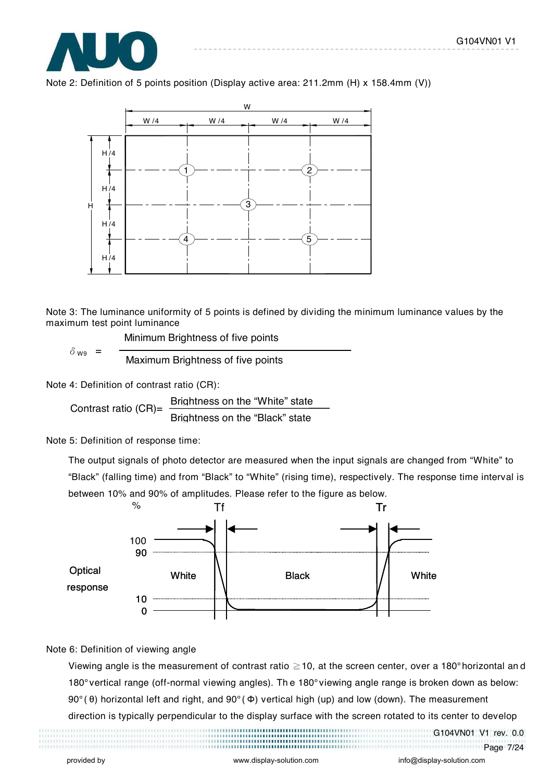





Note 3: The luminance uniformity of 5 points is defined by dividing the minimum luminance values by the maximum test point luminance

Minimum Brightness of five points

 $\delta_{\text{wg}}$  =  $\frac{1}{\text{Maximum~Brightness of five points}}$ 

Note 4: Definition of contrast ratio (CR):

Contrast ratio  $(CR)$ = Brightness on the "White" state Brightness on the "Black" state

Note 5: Definition of response time:

The output signals of photo detector are measured when the input signals are changed from "White" to "Black" (falling time) and from "Black" to "White" (rising time), respectively. The response time interval is between 10% and 90% of amplitudes. Please refer to the figure as below.



#### Note 6: Definition of viewing angle

Viewing angle is the measurement of contrast ratio  $\geq$  10, at the screen center, over a 180° horizontal an d 180° vertical range (off-normal viewing angles). Th e 180° viewing angle range is broken down as below: 90° (θ) horizontal left and right, and 90° (Φ) vertical high (up) and low (down). The measurement

direction is typically perpendicular to the display surface with the screen rotated to its center to develop

G104VN01 V1 rev. 0.0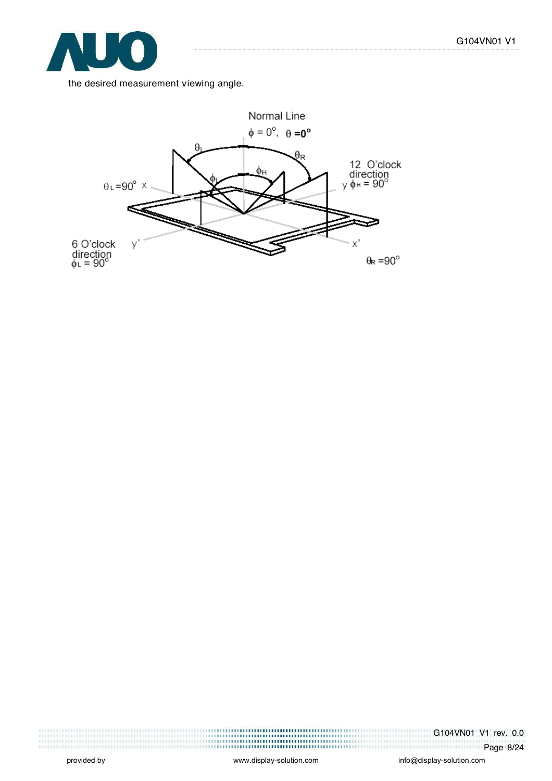

the desired measurement viewing angle.



G104VN01 V1 rev. 0.0 Page 8/24

,,,,,,,,,,,,,,,,,,,,,,,,,,,,,,,,,,,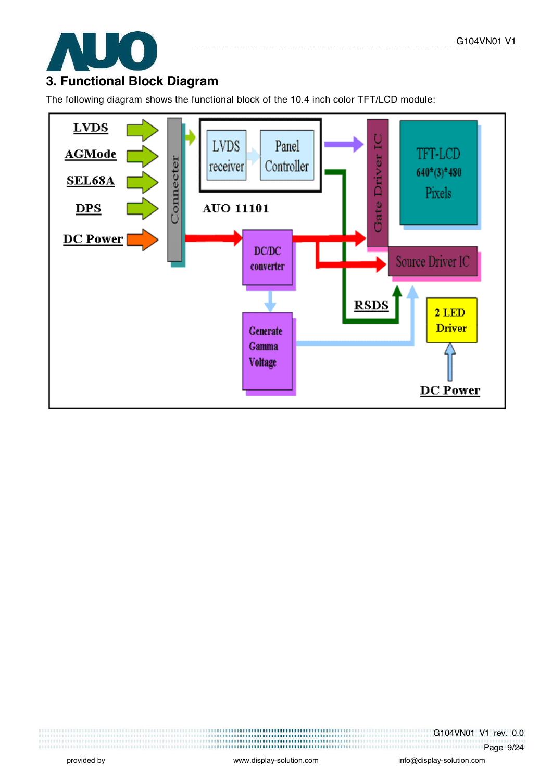

### **3. Functional Block Diagram**

The following diagram shows the functional block of the 10.4 inch color TFT/LCD module:



G104VN01 V1 rev. 0.0 **Page 9/24**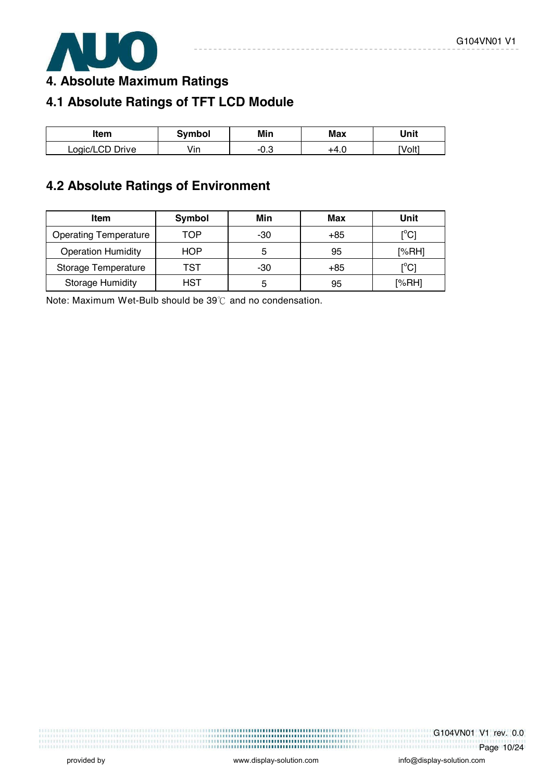

**4. Absolute Maximum Ratings** 

# **4.1 Absolute Ratings of TFT LCD Module**

| ltem            | Svmbol | Min | Max | Unit   |
|-----------------|--------|-----|-----|--------|
| Logic/LCD Drive | Vin    | U.J |     | [Volt] |

# **4.2 Absolute Ratings of Environment**

| <b>Item</b>                  | Symbol | Min | Max   | Unit                                    |
|------------------------------|--------|-----|-------|-----------------------------------------|
| <b>Operating Temperature</b> | TOP    | -30 | $+85$ | $\mathsf{I}^\circ\mathsf{C} \mathsf{I}$ |
| <b>Operation Humidity</b>    | HOP    | 5   | 95    | [%RH]                                   |
| Storage Temperature          | TST    | -30 | $+85$ | $\mathop{\rm l}{\rm ^oC}$               |
| <b>Storage Humidity</b>      | HST    | 5   | 95    | [%RH]                                   |

Note: Maximum Wet-Bulb should be  $39^{\circ}$  and no condensation.

G104VN01 V1 rev. 0.0 Page 10/24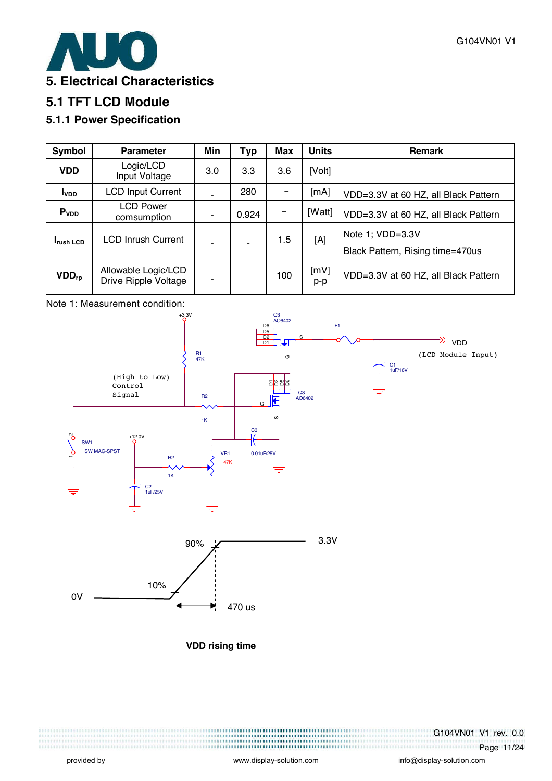

### **5.1 TFT LCD Module**

### **5.1.1 Power Specification**

| Symbol            | <b>Parameter</b>                            | Min | <b>Typ</b> | <b>Max</b> | <b>Units</b> | <b>Remark</b>                                        |
|-------------------|---------------------------------------------|-----|------------|------------|--------------|------------------------------------------------------|
| <b>VDD</b>        | Logic/LCD<br>Input Voltage                  | 3.0 | 3.3        | 3.6        | [Volt]       |                                                      |
| I <sub>VDD</sub>  | <b>LCD Input Current</b>                    | ۰   | 280        |            | [mA]         | VDD=3.3V at 60 HZ, all Black Pattern                 |
| P <sub>VDD</sub>  | <b>LCD Power</b><br>comsumption             | ٠   | 0.924      |            | [Watt]       | VDD=3.3V at 60 HZ, all Black Pattern                 |
| <b>I</b> rush LCD | <b>LCD Inrush Current</b>                   | ÷   |            | 1.5        | [A]          | Note 1; VDD=3.3V<br>Black Pattern, Rising time=470us |
| $VDD_{rp}$        | Allowable Logic/LCD<br>Drive Ripple Voltage | ٠   |            | 100        | [mV]<br>p-p  | VDD=3.3V at 60 HZ, all Black Pattern                 |

#### Note 1: Measurement condition:



**VDD rising time** 

G104VN01 V1 rev. 0.0 Page 11/24

,,,,,,,,,,,,,,,,,,,,,,,,,,,,,,,,,,,,,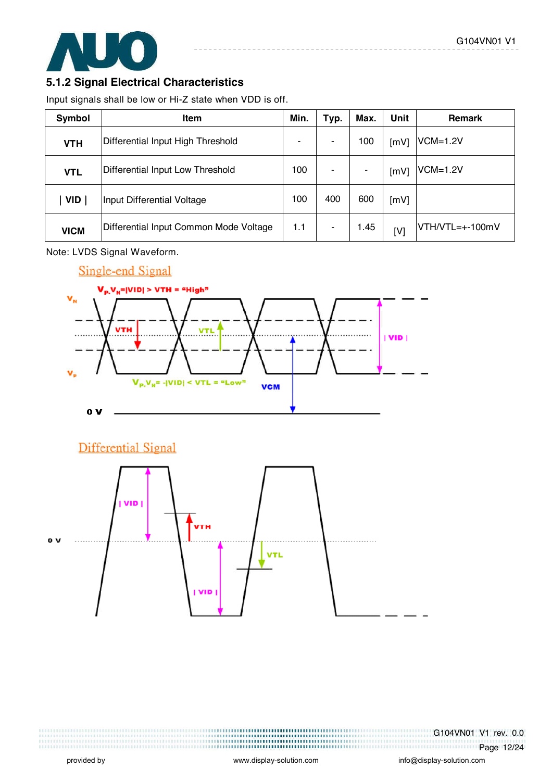

#### **5.1.2 Signal Electrical Characteristics**

Input signals shall be low or Hi-Z state when VDD is off.

| Symbol      | <b>Item</b>                            | Min. | Typ. | Max. | Unit | <b>Remark</b>   |
|-------------|----------------------------------------|------|------|------|------|-----------------|
| <b>VTH</b>  | Differential Input High Threshold      | ۰    | -    | 100  | [mV] | $VCM=1.2V$      |
| <b>VTL</b>  | Differential Input Low Threshold       | 100  |      |      | [mV] | $VCM=1.2V$      |
| <b>VID</b>  | Input Differential Voltage             | 100  | 400  | 600  | [mV] |                 |
| <b>VICM</b> | Differential Input Common Mode Voltage | 1.1  | ۰    | 1.45 | [V]  | VTH/VTL=+-100mV |

Note: LVDS Signal Waveform.





G104VN01 V1 rev. 0.0 Page 12/24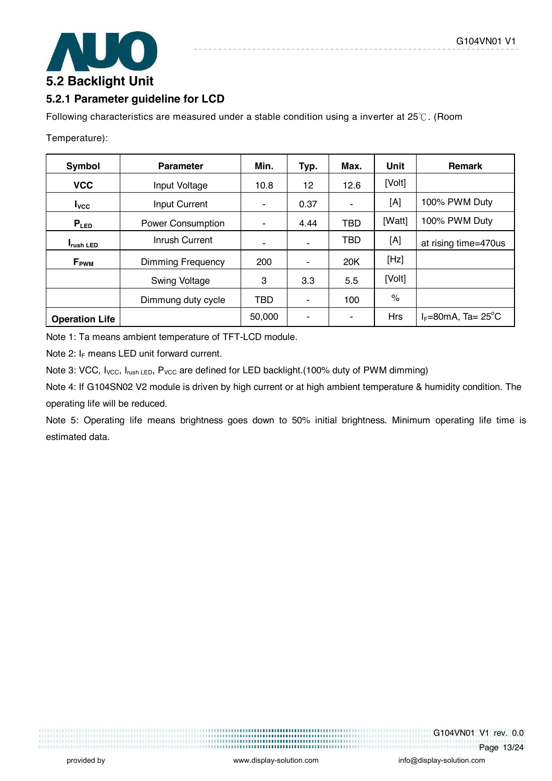

#### **5.2.1 Parameter guideline for LCD**

Following characteristics are measured under a stable condition using a inverter at  $25^{\circ}$ . (Room

Temperature):

| Symbol                | <b>Parameter</b>         | Min.       | Typ. | Max.       | Unit       | <b>Remark</b>                        |
|-----------------------|--------------------------|------------|------|------------|------------|--------------------------------------|
| <b>VCC</b>            | Input Voltage            | 10.8       | 12   | 12.6       | [Volt]     |                                      |
| $I_{\text{VCC}}$      | <b>Input Current</b>     |            | 0.37 | ۰          | [A]        | 100% PWM Duty                        |
| $P_{LED}$             | <b>Power Consumption</b> |            | 4.44 | <b>TBD</b> | [Watt]     | 100% PWM Duty                        |
| <b>I</b> rush LED     | Inrush Current           |            |      | <b>TBD</b> | [A]        | at rising time=470us                 |
| $F_{\rm PWM}$         | Dimming Frequency        |            |      | 20K        | [Hz]       |                                      |
|                       | Swing Voltage            | 3          | 3.3  | 5.5        | [Volt]     |                                      |
|                       | Dimmung duty cycle       | <b>TBD</b> |      | 100        | $\%$       |                                      |
| <b>Operation Life</b> |                          | 50,000     |      |            | <b>Hrs</b> | $I_F = 80$ mA, Ta= 25 <sup>°</sup> C |

Note 1: Ta means ambient temperature of TFT-LCD module.

Note 2:  $I_F$  means LED unit forward current.

Note 3: VCC, I<sub>VCC</sub>, I<sub>rush LED</sub>, P<sub>VCC</sub> are defined for LED backlight.(100% duty of PWM dimming)

Note 4: If G104SN02 V2 module is driven by high current or at high ambient temperature & humidity condition. The operating life will be reduced.

Note 5: Operating life means brightness goes down to 50% initial brightness. Minimum operating life time is estimated data.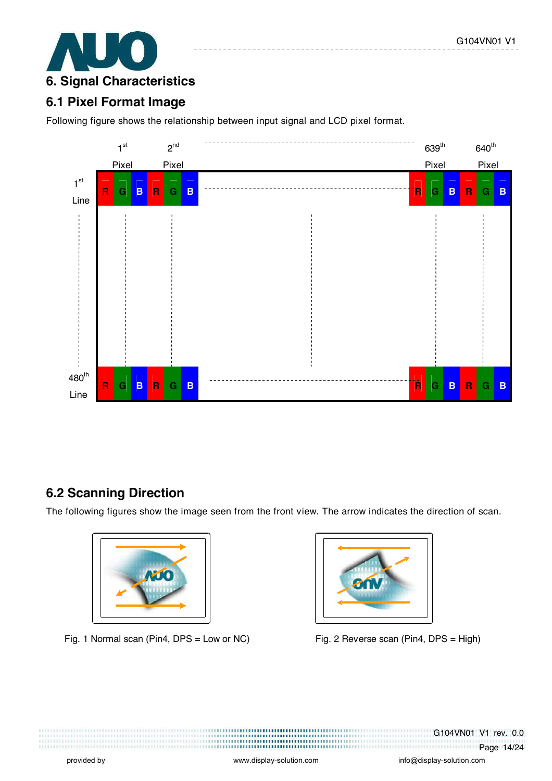

### **6.1 Pixel Format Image**

Following figure shows the relationship between input signal and LCD pixel format.



### **6.2 Scanning Direction**

The following figures show the image seen from the front view. The arrow indicates the direction of scan.



Fig. 1 Normal scan (Pin4, DPS = Low or NC) Fig. 2 Reverse scan (Pin4, DPS = High)



G104VN01 V1 rev. 0.0 **Page 14/24**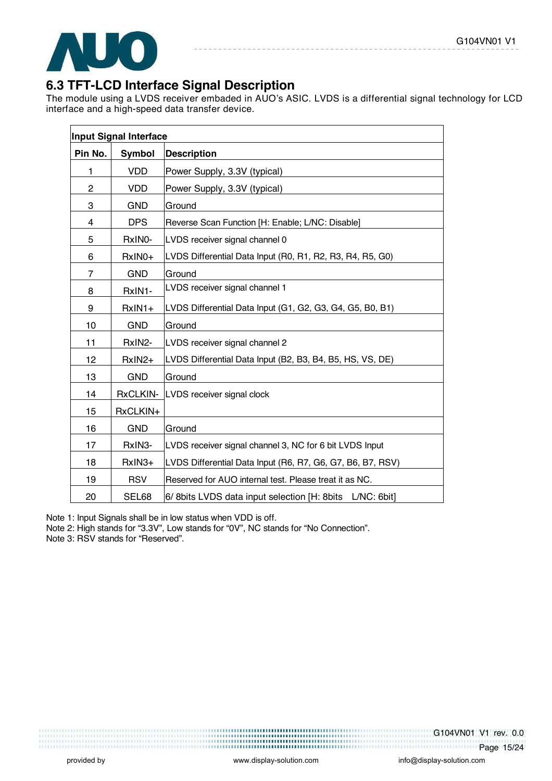

### **6.3 TFT-LCD Interface Signal Description**

The module using a LVDS receiver embaded in AUO's ASIC. LVDS is a differential signal technology for LCD interface and a high-speed data transfer device.

|                | Input Signal Interface |                                                              |
|----------------|------------------------|--------------------------------------------------------------|
| Pin No.        | Symbol                 | <b>Description</b>                                           |
| 1              | <b>VDD</b>             | Power Supply, 3.3V (typical)                                 |
| $\overline{c}$ | <b>VDD</b>             | Power Supply, 3.3V (typical)                                 |
| 3              | <b>GND</b>             | Ground                                                       |
| 4              | <b>DPS</b>             | Reverse Scan Function [H: Enable; L/NC: Disable]             |
| 5              | RxINO-                 | LVDS receiver signal channel 0                               |
| 6              | RxIN0+                 | LVDS Differential Data Input (R0, R1, R2, R3, R4, R5, G0)    |
| 7              | <b>GND</b>             | Ground                                                       |
| 8              | RxIN1-                 | LVDS receiver signal channel 1                               |
| 9              | $RxIN1+$               | LVDS Differential Data Input (G1, G2, G3, G4, G5, B0, B1)    |
| 10             | <b>GND</b>             | Ground                                                       |
| 11             | RxIN2-                 | LVDS receiver signal channel 2                               |
| 12             | RxIN2+                 | LVDS Differential Data Input (B2, B3, B4, B5, HS, VS, DE)    |
| 13             | <b>GND</b>             | Ground                                                       |
| 14             | <b>RxCLKIN-</b>        | LVDS receiver signal clock                                   |
| 15             | RxCLKIN+               |                                                              |
| 16             | <b>GND</b>             | Ground                                                       |
| 17             | RxIN3-                 | LVDS receiver signal channel 3, NC for 6 bit LVDS Input      |
| 18             | RxIN3+                 | LVDS Differential Data Input (R6, R7, G6, G7, B6, B7, RSV)   |
| 19             | <b>RSV</b>             | Reserved for AUO internal test. Please treat it as NC.       |
| 20             | SEL68                  | 6/ 8bits LVDS data input selection [H: 8bits]<br>L/NC: 6bit] |

Note 1: Input Signals shall be in low status when VDD is off.

Note 2: High stands for "3.3V", Low stands for "0V", NC stands for "No Connection".

Note 3: RSV stands for "Reserved".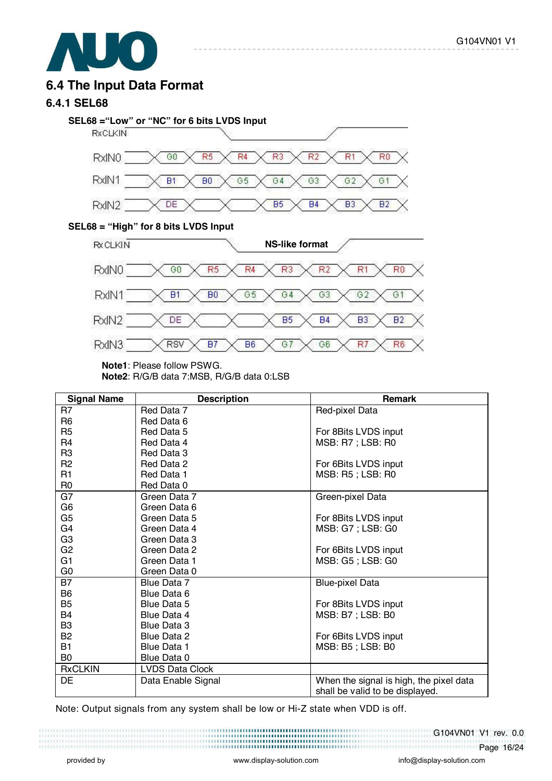

### **6.4 The Input Data Format**

#### **6.4.1 SEL68**



-------------

#### **SEL68 = "High" for 8 bits LVDS Input**



**Note1**: Please follow PSWG.

**Note2**: R/G/B data 7:MSB, R/G/B data 0:LSB

| <b>Signal Name</b> | <b>Description</b>     | <b>Remark</b>                           |
|--------------------|------------------------|-----------------------------------------|
| R7                 | Red Data 7             | Red-pixel Data                          |
| R <sub>6</sub>     | Red Data 6             |                                         |
| R <sub>5</sub>     | Red Data 5             | For 8Bits LVDS input                    |
| R4                 | Red Data 4             | MSB: R7 ; LSB: R0                       |
| R <sub>3</sub>     | Red Data 3             |                                         |
| R <sub>2</sub>     | Red Data 2             | For 6Bits LVDS input                    |
| R <sub>1</sub>     | Red Data 1             | MSB: R5; LSB: R0                        |
| R <sub>0</sub>     | Red Data 0             |                                         |
| G7                 | Green Data 7           | Green-pixel Data                        |
| G <sub>6</sub>     | Green Data 6           |                                         |
| G <sub>5</sub>     | Green Data 5           | For 8Bits LVDS input                    |
| G4                 | Green Data 4           | MSB: G7 ; LSB: G0                       |
| G <sub>3</sub>     | Green Data 3           |                                         |
| G <sub>2</sub>     | Green Data 2           | For 6Bits LVDS input                    |
| G <sub>1</sub>     | Green Data 1           | MSB: G5; LSB: G0                        |
| G <sub>0</sub>     | Green Data 0           |                                         |
| <b>B7</b>          | Blue Data 7            | <b>Blue-pixel Data</b>                  |
| B <sub>6</sub>     | Blue Data 6            |                                         |
| B <sub>5</sub>     | Blue Data 5            | For 8Bits LVDS input                    |
| B4                 | Blue Data 4            | MSB: B7 ; LSB: B0                       |
| B <sub>3</sub>     | Blue Data 3            |                                         |
| <b>B2</b>          | Blue Data 2            | For 6Bits LVDS input                    |
| <b>B1</b>          | <b>Blue Data 1</b>     | MSB: B5 ; LSB: B0                       |
| B <sub>0</sub>     | Blue Data 0            |                                         |
| <b>RxCLKIN</b>     | <b>LVDS Data Clock</b> |                                         |
| DE                 | Data Enable Signal     | When the signal is high, the pixel data |
|                    |                        | shall be valid to be displayed.         |

Note: Output signals from any system shall be low or Hi-Z state when VDD is off.

#### G104VN01 V1 rev. 0.0 Page 16/24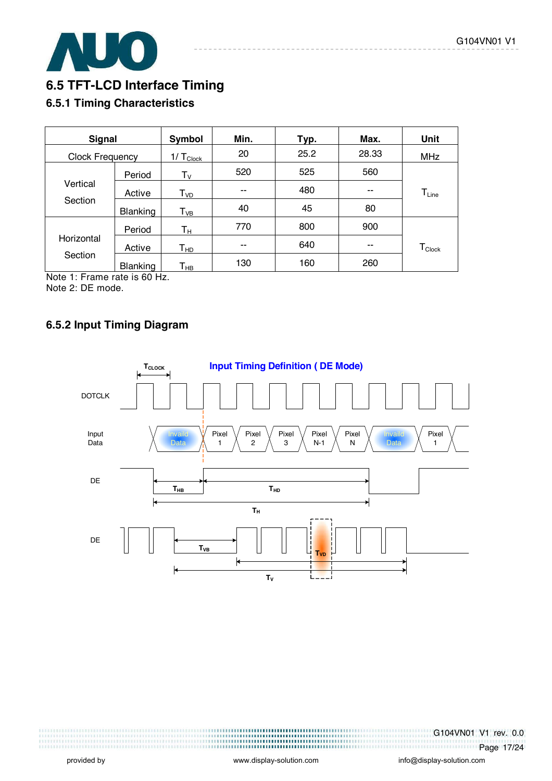

### **6.5 TFT-LCD Interface Timing**

#### **6.5.1 Timing Characteristics**

| <b>Signal</b>          |                 | Symbol                     | Min. | Typ. | Max.  | <b>Unit</b>        |
|------------------------|-----------------|----------------------------|------|------|-------|--------------------|
| <b>Clock Frequency</b> |                 | $1/ T_{Clock}$             | 20   | 25.2 | 28.33 | <b>MHz</b>         |
|                        | Period          | $T_{\mathsf{V}}$           | 520  | 525  | 560   |                    |
| Vertical               | Active          | T <sub>vd</sub>            | --   | 480  | --    | $T_{Line}$         |
| Section                | <b>Blanking</b> | $\mathsf{T}_{\mathsf{VB}}$ | 40   | 45   | 80    |                    |
|                        | Period          | Tн                         | 770  | 800  | 900   |                    |
| Horizontal             | Active          | Т <sub>нр</sub>            | --   | 640  | --    | $T_{\text{Clock}}$ |
| Section                | <b>Blanking</b> | Т <sub>нв</sub>            | 130  | 160  | 260   |                    |

Note 1: Frame rate is 60 Hz. Note 2: DE mode.

#### **6.5.2 Input Timing Diagram**



G104VN01 V1 rev. 0.0 Page 17/24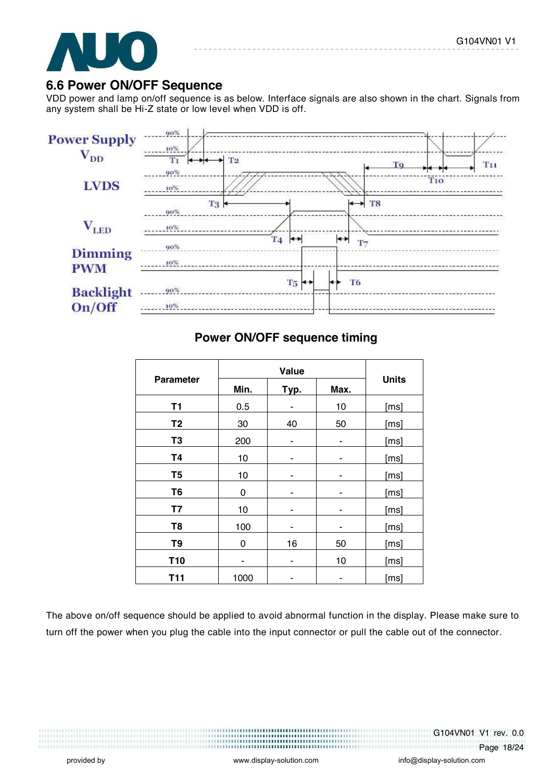

#### **6.6 Power ON/OFF Sequence**

VDD power and lamp on/off sequence is as below. Interface signals are also shown in the chart. Signals from any system shall be Hi-Z state or low level when VDD is off.



#### **Power ON/OFF sequence timing**

|                  | Value |      |      |              |
|------------------|-------|------|------|--------------|
| <b>Parameter</b> | Min.  | Typ. | Max. | <b>Units</b> |
| T1               | 0.5   | ۰    | 10   | [ms]         |
| T <sub>2</sub>   | 30    | 40   | 50   | [ms]         |
| T <sub>3</sub>   | 200   | ۰    |      | [ms]         |
| <b>T4</b>        | 10    | ۰    |      | [ms]         |
| T <sub>5</sub>   | 10    | ۰    | ۰    | [ms]         |
| T <sub>6</sub>   | 0     |      |      | [ms]         |
| <b>T7</b>        | 10    |      |      | [ms]         |
| T <sub>8</sub>   | 100   | ٠    | ٠    | [ms]         |
| T <sub>9</sub>   | 0     | 16   | 50   | [ms]         |
| T <sub>10</sub>  |       | ۰    | 10   | [ms]         |
| <b>T11</b>       | 1000  |      |      | [ms]         |

The above on/off sequence should be applied to avoid abnormal function in the display. Please make sure to turn off the power when you plug the cable into the input connector or pull the cable out of the connector.

G104VN01 V1 rev. 0.0

Page 18/24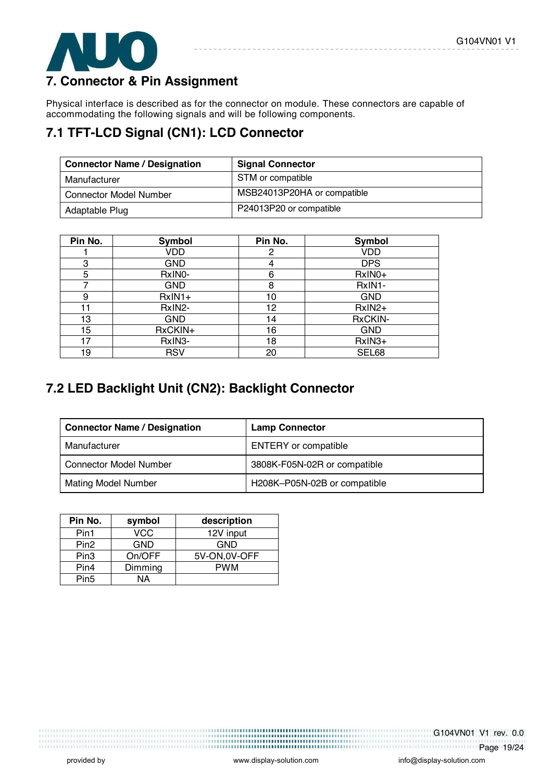

### **7. Connector & Pin Assignment**

Physical interface is described as for the connector on module. These connectors are capable of accommodating the following signals and will be following components.

# **7.1 TFT-LCD Signal (CN1): LCD Connector**

| <b>Connector Name / Designation</b> | <b>Signal Connector</b>     |
|-------------------------------------|-----------------------------|
| Manufacturer                        | STM or compatible           |
| <b>Connector Model Number</b>       | MSB24013P20HA or compatible |
| Adaptable Plug                      | P24013P20 or compatible     |

| Pin No. | <b>Symbol</b> | Pin No. | Symbol     |
|---------|---------------|---------|------------|
|         | VDD           | 2       | <b>VDD</b> |
| 3       | GND           | 4       | <b>DPS</b> |
| 5       | RxINO-        | 6       | RxIN0+     |
| 7       | <b>GND</b>    | 8       | RxIN1-     |
| 9       | $RxIN1+$      | 10      | <b>GND</b> |
| 11      | RxIN2-        | 12      | $RxIN2+$   |
| 13      | <b>GND</b>    | 14      | RxCKIN-    |
| 15      | RxCKIN+       | 16      | <b>GND</b> |
| 17      | RxIN3-        | 18      | RxIN3+     |
| 19      | <b>RSV</b>    | 20      | SEL68      |

### **7.2 LED Backlight Unit (CN2): Backlight Connector**

| <b>Connector Name / Designation</b> | <b>Lamp Connector</b>        |
|-------------------------------------|------------------------------|
| Manufacturer                        | <b>ENTERY</b> or compatible  |
| <b>Connector Model Number</b>       | 3808K-F05N-02R or compatible |
| <b>Mating Model Number</b>          | H208K-P05N-02B or compatible |

| Pin No.          | symbol  | description   |
|------------------|---------|---------------|
| Pin1             | VCC     | 12V input     |
| Pin <sub>2</sub> | GND     | GND           |
| Pin <sub>3</sub> | On/OFF  | 5V-ON, 0V-OFF |
| Pin4             | Dimming | <b>PWM</b>    |
| Pin <sub>5</sub> | NΑ      |               |

,,,,,,,,,,,,,,,,,,,,,,,,,,,,,,,,,,,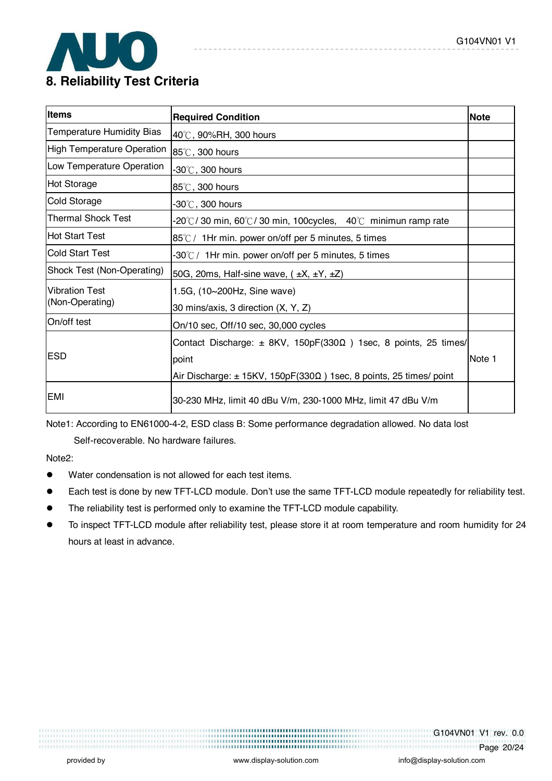

| <b>Items</b>                      | <b>Required Condition</b>                                                       | <b>Note</b> |
|-----------------------------------|---------------------------------------------------------------------------------|-------------|
| Temperature Humidity Bias         | 40℃, 90%RH, 300 hours                                                           |             |
| <b>High Temperature Operation</b> | 85°C, 300 hours                                                                 |             |
| Low Temperature Operation         | $-30^{\circ}\textrm{C}$ , 300 hours                                             |             |
| <b>Hot Storage</b>                | 85℃, 300 hours                                                                  |             |
| Cold Storage                      | $-30^{\circ}$ C , 300 hours                                                     |             |
| Thermal Shock Test                | -20°C/30 min, 60°C/30 min, 100cycles, 40°C minimun ramp rate                    |             |
| <b>Hot Start Test</b>             | 85℃/ 1Hr min. power on/off per 5 minutes, 5 times                               |             |
| <b>Cold Start Test</b>            | $-30^{\circ}$ C / 1Hr min. power on/off per 5 minutes, 5 times                  |             |
| Shock Test (Non-Operating)        | 50G, 20ms, Half-sine wave, $(\pm X, \pm Y, \pm Z)$                              |             |
| <b>Vibration Test</b>             | 1.5G, (10~200Hz, Sine wave)                                                     |             |
| (Non-Operating)                   | 30 mins/axis, 3 direction (X, Y, Z)                                             |             |
| On/off test                       | On/10 sec, Off/10 sec, 30,000 cycles                                            |             |
|                                   | Contact Discharge: $\pm$ 8KV, 150pF(330 $\Omega$ ) 1sec, 8 points, 25 times/    |             |
| <b>ESD</b>                        | point                                                                           | Note 1      |
|                                   | Air Discharge: $\pm$ 15KV, 150pF(330 $\Omega$ ) 1sec, 8 points, 25 times/ point |             |
| EMI                               | 30-230 MHz, limit 40 dBu V/m, 230-1000 MHz, limit 47 dBu V/m                    |             |

Note1: According to EN61000-4-2, ESD class B: Some performance degradation allowed. No data lost

Self-recoverable. No hardware failures.

Note2:

- ! Water condensation is not allowed for each test items.
- Each test is done by new TFT-LCD module. Don't use the same TFT-LCD module repeatedly for reliability test.
- The reliability test is performed only to examine the TFT-LCD module capability.
- ! To inspect TFT-LCD module after reliability test, please store it at room temperature and room humidity for 24 hours at least in advance.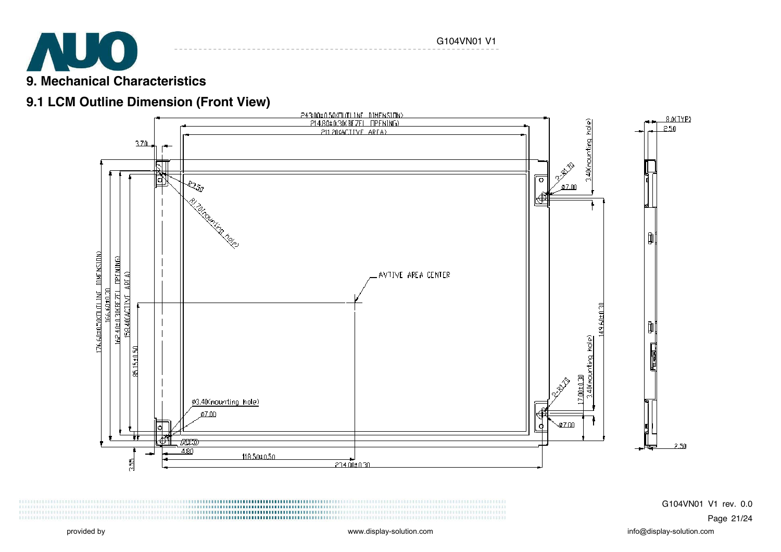

### **9.1 LCM Outline Dimension (Front View)**

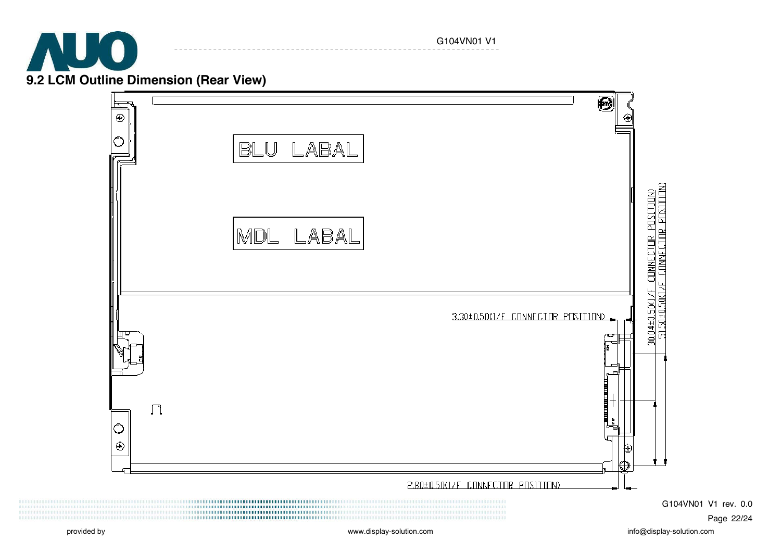

G104VN01 V1



G104VN01 V1 rev. 0.0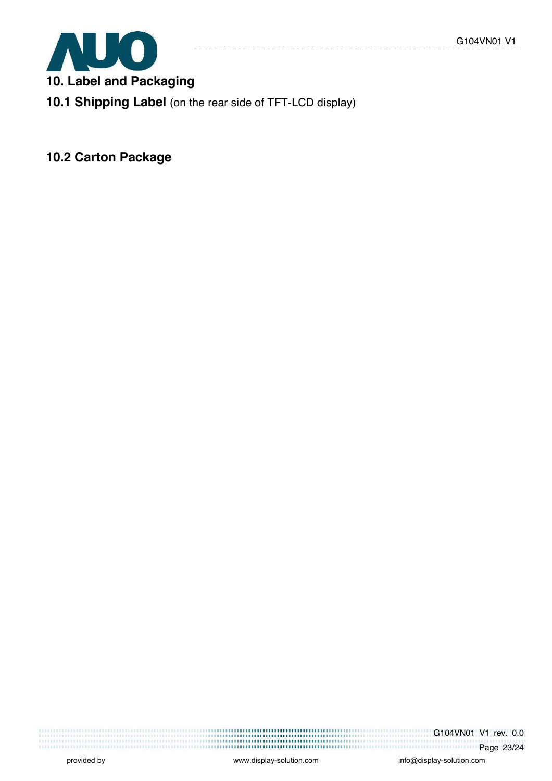

**10. Label and Packaging** 

**10.1 Shipping Label** (on the rear side of TFT-LCD display)

**10.2 Carton Package** 

G104VN01 V1 rev. 0.0 <u>Page 23/24</u>